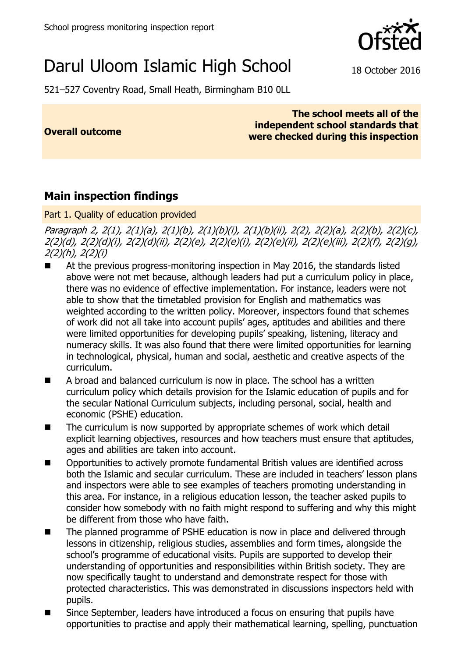

# Darul Uloom Islamic High School 18 October 2016

521–527 Coventry Road, Small Heath, Birmingham B10 0LL

**Overall outcome**

#### **The school meets all of the independent school standards that were checked during this inspection**

## **Main inspection findings**

Part 1. Quality of education provided

Paragraph 2, 2(1), 2(1)(a), 2(1)(b), 2(1)(b)(i), 2(1)(b)(ii), 2(2), 2(2)(a), 2(2)(b), 2(2)(c), 2(2)(d), 2(2)(d)(i), 2(2)(d)(ii), 2(2)(e), 2(2)(e)(i), 2(2)(e)(ii), 2(2)(e)(iii), 2(2)(f), 2(2)(g), 2(2)(h), 2(2)(i)

- At the previous progress-monitoring inspection in May 2016, the standards listed above were not met because, although leaders had put a curriculum policy in place, there was no evidence of effective implementation. For instance, leaders were not able to show that the timetabled provision for English and mathematics was weighted according to the written policy. Moreover, inspectors found that schemes of work did not all take into account pupils' ages, aptitudes and abilities and there were limited opportunities for developing pupils' speaking, listening, literacy and numeracy skills. It was also found that there were limited opportunities for learning in technological, physical, human and social, aesthetic and creative aspects of the curriculum.
- A broad and balanced curriculum is now in place. The school has a written curriculum policy which details provision for the Islamic education of pupils and for the secular National Curriculum subjects, including personal, social, health and economic (PSHE) education.
- The curriculum is now supported by appropriate schemes of work which detail explicit learning objectives, resources and how teachers must ensure that aptitudes, ages and abilities are taken into account.
- Opportunities to actively promote fundamental British values are identified across both the Islamic and secular curriculum. These are included in teachers' lesson plans and inspectors were able to see examples of teachers promoting understanding in this area. For instance, in a religious education lesson, the teacher asked pupils to consider how somebody with no faith might respond to suffering and why this might be different from those who have faith.
- The planned programme of PSHE education is now in place and delivered through lessons in citizenship, religious studies, assemblies and form times, alongside the school's programme of educational visits. Pupils are supported to develop their understanding of opportunities and responsibilities within British society. They are now specifically taught to understand and demonstrate respect for those with protected characteristics. This was demonstrated in discussions inspectors held with pupils.
- Since September, leaders have introduced a focus on ensuring that pupils have opportunities to practise and apply their mathematical learning, spelling, punctuation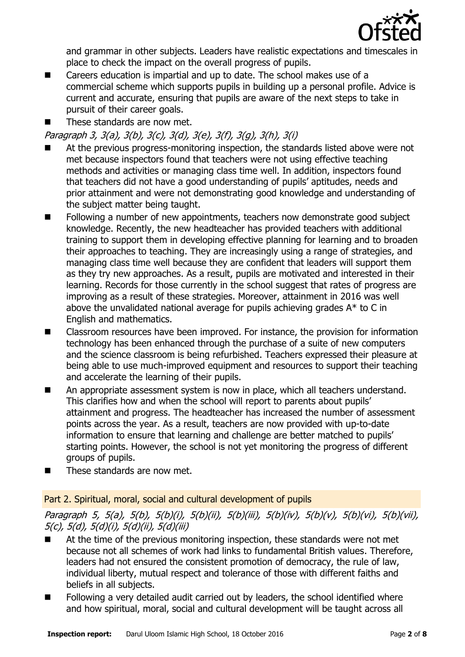

and grammar in other subjects. Leaders have realistic expectations and timescales in place to check the impact on the overall progress of pupils.

- Careers education is impartial and up to date. The school makes use of a commercial scheme which supports pupils in building up a personal profile. Advice is current and accurate, ensuring that pupils are aware of the next steps to take in pursuit of their career goals.
- These standards are now met.

Paragraph 3, 3(a), 3(b), 3(c), 3(d), 3(e), 3(f), 3(g), 3(h), 3(i)

- At the previous progress-monitoring inspection, the standards listed above were not met because inspectors found that teachers were not using effective teaching methods and activities or managing class time well. In addition, inspectors found that teachers did not have a good understanding of pupils' aptitudes, needs and prior attainment and were not demonstrating good knowledge and understanding of the subject matter being taught.
- Following a number of new appointments, teachers now demonstrate good subject knowledge. Recently, the new headteacher has provided teachers with additional training to support them in developing effective planning for learning and to broaden their approaches to teaching. They are increasingly using a range of strategies, and managing class time well because they are confident that leaders will support them as they try new approaches. As a result, pupils are motivated and interested in their learning. Records for those currently in the school suggest that rates of progress are improving as a result of these strategies. Moreover, attainment in 2016 was well above the unvalidated national average for pupils achieving grades A\* to C in English and mathematics.
- Classroom resources have been improved. For instance, the provision for information technology has been enhanced through the purchase of a suite of new computers and the science classroom is being refurbished. Teachers expressed their pleasure at being able to use much-improved equipment and resources to support their teaching and accelerate the learning of their pupils.
- An appropriate assessment system is now in place, which all teachers understand. This clarifies how and when the school will report to parents about pupils' attainment and progress. The headteacher has increased the number of assessment points across the year. As a result, teachers are now provided with up-to-date information to ensure that learning and challenge are better matched to pupils' starting points. However, the school is not yet monitoring the progress of different groups of pupils.
- These standards are now met.

#### Part 2. Spiritual, moral, social and cultural development of pupils

Paragraph 5, 5(a), 5(b), 5(b)(i), 5(b)(ii), 5(b)(iii), 5(b)(iv), 5(b)(v), 5(b)(vi), 5(b)(vii), 5(c), 5(d), 5(d)(i), 5(d)(ii), 5(d)(iii)

- At the time of the previous monitoring inspection, these standards were not met because not all schemes of work had links to fundamental British values. Therefore, leaders had not ensured the consistent promotion of democracy, the rule of law, individual liberty, mutual respect and tolerance of those with different faiths and beliefs in all subjects.
- **Following a very detailed audit carried out by leaders, the school identified where** and how spiritual, moral, social and cultural development will be taught across all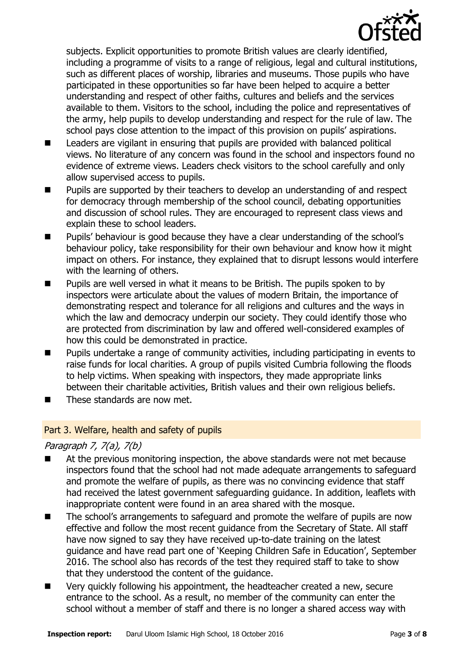

subjects. Explicit opportunities to promote British values are clearly identified, including a programme of visits to a range of religious, legal and cultural institutions, such as different places of worship, libraries and museums. Those pupils who have participated in these opportunities so far have been helped to acquire a better understanding and respect of other faiths, cultures and beliefs and the services available to them. Visitors to the school, including the police and representatives of the army, help pupils to develop understanding and respect for the rule of law. The school pays close attention to the impact of this provision on pupils' aspirations.

- Leaders are vigilant in ensuring that pupils are provided with balanced political views. No literature of any concern was found in the school and inspectors found no evidence of extreme views. Leaders check visitors to the school carefully and only allow supervised access to pupils.
- **Pupils are supported by their teachers to develop an understanding of and respect** for democracy through membership of the school council, debating opportunities and discussion of school rules. They are encouraged to represent class views and explain these to school leaders.
- **Pupils'** behaviour is good because they have a clear understanding of the school's behaviour policy, take responsibility for their own behaviour and know how it might impact on others. For instance, they explained that to disrupt lessons would interfere with the learning of others.
- **Pupils are well versed in what it means to be British. The pupils spoken to by** inspectors were articulate about the values of modern Britain, the importance of demonstrating respect and tolerance for all religions and cultures and the ways in which the law and democracy underpin our society. They could identify those who are protected from discrimination by law and offered well-considered examples of how this could be demonstrated in practice.
- Pupils undertake a range of community activities, including participating in events to raise funds for local charities. A group of pupils visited Cumbria following the floods to help victims. When speaking with inspectors, they made appropriate links between their charitable activities, British values and their own religious beliefs.
- $\blacksquare$  These standards are now met.

#### Part 3. Welfare, health and safety of pupils

#### Paragraph 7, 7(a), 7(b)

- At the previous monitoring inspection, the above standards were not met because inspectors found that the school had not made adequate arrangements to safeguard and promote the welfare of pupils, as there was no convincing evidence that staff had received the latest government safeguarding guidance. In addition, leaflets with inappropriate content were found in an area shared with the mosque.
- The school's arrangements to safeguard and promote the welfare of pupils are now effective and follow the most recent guidance from the Secretary of State. All staff have now signed to say they have received up-to-date training on the latest guidance and have read part one of 'Keeping Children Safe in Education', September 2016. The school also has records of the test they required staff to take to show that they understood the content of the guidance.
- Very quickly following his appointment, the headteacher created a new, secure entrance to the school. As a result, no member of the community can enter the school without a member of staff and there is no longer a shared access way with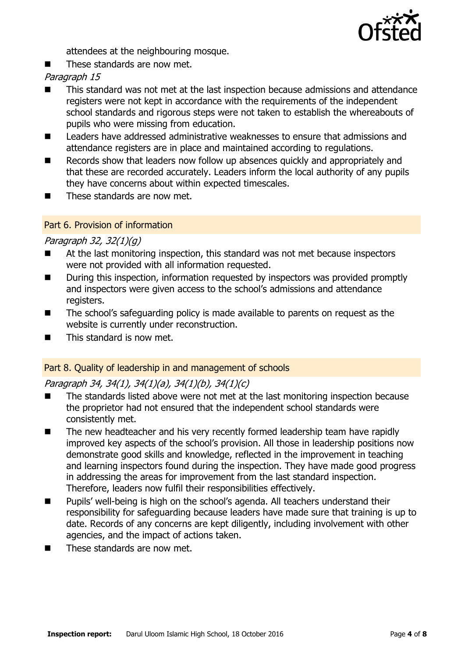

attendees at the neighbouring mosque.

 $\blacksquare$  These standards are now met.

Paragraph 15

- This standard was not met at the last inspection because admissions and attendance registers were not kept in accordance with the requirements of the independent school standards and rigorous steps were not taken to establish the whereabouts of pupils who were missing from education.
- Leaders have addressed administrative weaknesses to ensure that admissions and attendance registers are in place and maintained according to regulations.
- Records show that leaders now follow up absences quickly and appropriately and that these are recorded accurately. Leaders inform the local authority of any pupils they have concerns about within expected timescales.
- $\blacksquare$  These standards are now met.

#### Part 6. Provision of information

#### Paragraph 32, 32(1)(g)

- At the last monitoring inspection, this standard was not met because inspectors were not provided with all information requested.
- During this inspection, information requested by inspectors was provided promptly and inspectors were given access to the school's admissions and attendance registers.
- The school's safeguarding policy is made available to parents on request as the website is currently under reconstruction.
- $\blacksquare$  This standard is now met.

#### Part 8. Quality of leadership in and management of schools

#### Paragraph 34, 34(1), 34(1)(a), 34(1)(b), 34(1)(c)

- The standards listed above were not met at the last monitoring inspection because the proprietor had not ensured that the independent school standards were consistently met.
- The new headteacher and his very recently formed leadership team have rapidly improved key aspects of the school's provision. All those in leadership positions now demonstrate good skills and knowledge, reflected in the improvement in teaching and learning inspectors found during the inspection. They have made good progress in addressing the areas for improvement from the last standard inspection. Therefore, leaders now fulfil their responsibilities effectively.
- Pupils' well-being is high on the school's agenda. All teachers understand their responsibility for safeguarding because leaders have made sure that training is up to date. Records of any concerns are kept diligently, including involvement with other agencies, and the impact of actions taken.
- $\blacksquare$  These standards are now met.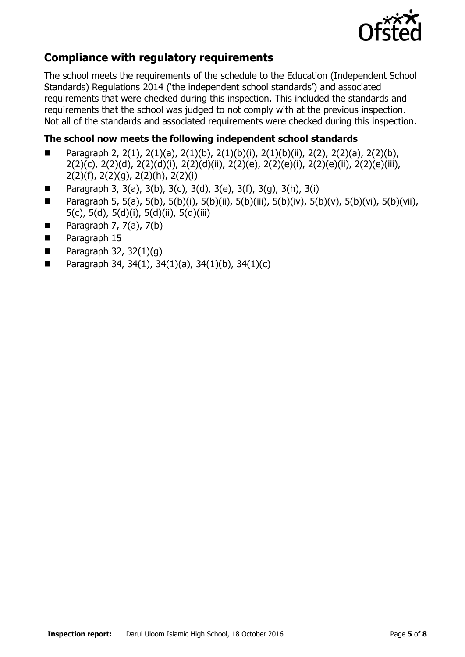

## **Compliance with regulatory requirements**

The school meets the requirements of the schedule to the Education (Independent School Standards) Regulations 2014 ('the independent school standards') and associated requirements that were checked during this inspection. This included the standards and requirements that the school was judged to not comply with at the previous inspection. Not all of the standards and associated requirements were checked during this inspection.

### **The school now meets the following independent school standards**

- **Paragraph 2, 2(1), 2(1)(a), 2(1)(b), 2(1)(b)(i), 2(1)(b)(ii), 2(2), 2(2)(a), 2(2)(b),** 2(2)(c), 2(2)(d), 2(2)(d)(i), 2(2)(d)(ii), 2(2)(e), 2(2)(e)(i), 2(2)(e)(ii), 2(2)(e)(iii), 2(2)(f), 2(2)(g), 2(2)(h), 2(2)(i)
- **Paragraph 3, 3(a), 3(b), 3(c), 3(d), 3(e), 3(f), 3(g), 3(h), 3(i)**
- **Paragraph 5, 5(a), 5(b), 5(b)(i), 5(b)(ii), 5(b)(iii), 5(b)(iv), 5(b)(v), 5(b)(vi), 5(b)(vii),** 5(c), 5(d), 5(d)(i), 5(d)(ii), 5(d)(iii)
- Paragraph  $7, 7(a), 7(b)$
- **Paragraph 15**
- Paragraph 32,  $32(1)(q)$
- **Paragraph 34, 34(1), 34(1)(a), 34(1)(b), 34(1)(c)**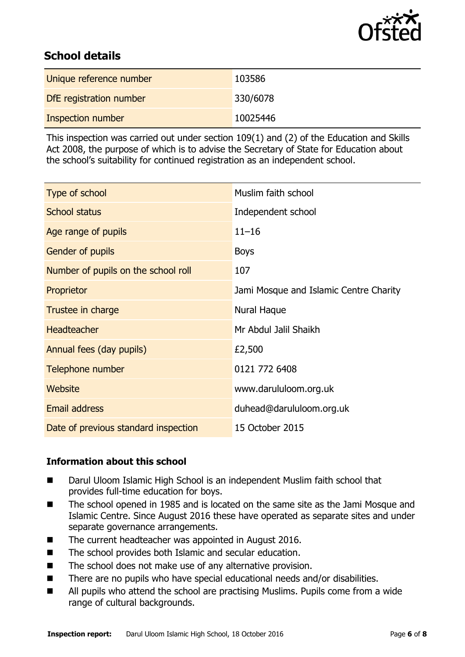

## **School details**

| Unique reference number | 103586   |
|-------------------------|----------|
| DfE registration number | 330/6078 |
| Inspection number       | 10025446 |

This inspection was carried out under section 109(1) and (2) of the Education and Skills Act 2008, the purpose of which is to advise the Secretary of State for Education about the school's suitability for continued registration as an independent school.

| Type of school                       | Muslim faith school                    |
|--------------------------------------|----------------------------------------|
| <b>School status</b>                 | Independent school                     |
| Age range of pupils                  | $11 - 16$                              |
| Gender of pupils                     | <b>Boys</b>                            |
| Number of pupils on the school roll  | 107                                    |
| Proprietor                           | Jami Mosque and Islamic Centre Charity |
| Trustee in charge                    | Nural Haque                            |
| <b>Headteacher</b>                   | Mr Abdul Jalil Shaikh                  |
| Annual fees (day pupils)             | £2,500                                 |
| Telephone number                     | 0121 772 6408                          |
| <b>Website</b>                       | www.darululoom.org.uk                  |
| <b>Email address</b>                 | duhead@darululoom.org.uk               |
| Date of previous standard inspection | 15 October 2015                        |

#### **Information about this school**

- Darul Uloom Islamic High School is an independent Muslim faith school that provides full-time education for boys.
- The school opened in 1985 and is located on the same site as the Jami Mosque and Islamic Centre. Since August 2016 these have operated as separate sites and under separate governance arrangements.
- The current headteacher was appointed in August 2016.
- The school provides both Islamic and secular education.
- The school does not make use of any alternative provision.
- There are no pupils who have special educational needs and/or disabilities.
- All pupils who attend the school are practising Muslims. Pupils come from a wide range of cultural backgrounds.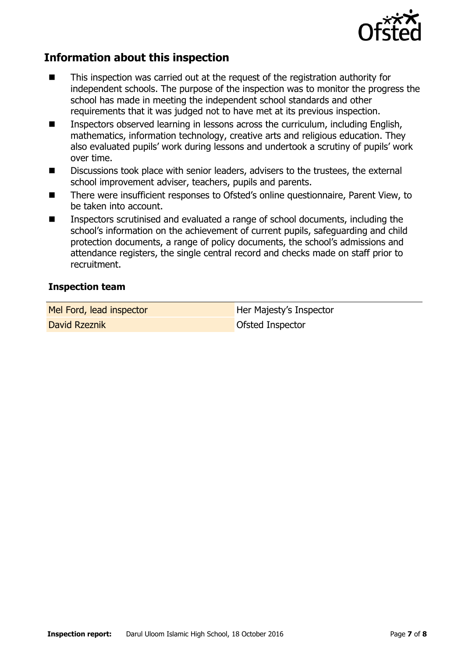

## **Information about this inspection**

- This inspection was carried out at the request of the registration authority for independent schools. The purpose of the inspection was to monitor the progress the school has made in meeting the independent school standards and other requirements that it was judged not to have met at its previous inspection.
- **Inspectors observed learning in lessons across the curriculum, including English,** mathematics, information technology, creative arts and religious education. They also evaluated pupils' work during lessons and undertook a scrutiny of pupils' work over time.
- Discussions took place with senior leaders, advisers to the trustees, the external school improvement adviser, teachers, pupils and parents.
- There were insufficient responses to Ofsted's online questionnaire, Parent View, to be taken into account.
- Inspectors scrutinised and evaluated a range of school documents, including the school's information on the achievement of current pupils, safeguarding and child protection documents, a range of policy documents, the school's admissions and attendance registers, the single central record and checks made on staff prior to recruitment.

#### **Inspection team**

Mel Ford, lead inspector Her Majesty's Inspector

David Rzeznik **David Rzeznik Charles Charles Charles Charles Charles Charles Charles Charles Charles Charles Charles Charles Charles Charles Charles Charles Charles Charles Charles Charles Charles Charles Charles Charles C**